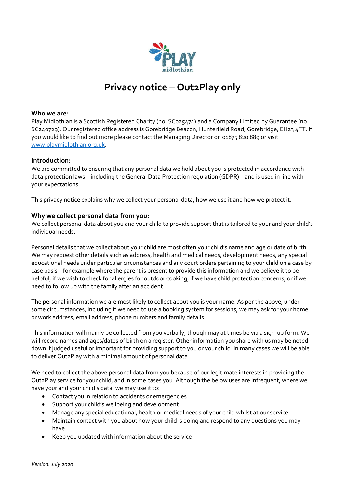

# **Privacy notice – Out2Play only**

# **Who we are:**

Play Midlothian is a Scottish Registered Charity (no. SC025474) and a Company Limited by Guarantee (no. SC240729). Our registered office address is Gorebridge Beacon, Hunterfield Road, Gorebridge, EH23 4TT. If you would like to find out more please contact the Managing Director on 01875 820 889 or visit [www.playmidlothian.org.uk.](http://www.playmidlothian.org.uk/)

#### **Introduction:**

We are committed to ensuring that any personal data we hold about you is protected in accordance with data protection laws – including the General Data Protection regulation (GDPR) – and is used in line with your expectations.

This privacy notice explains why we collect your personal data, how we use it and how we protect it.

# **Why we collect personal data from you:**

We collect personal data about you and your child to provide support that is tailored to your and your child's individual needs.

Personal details that we collect about your child are most often your child's name and age or date of birth. We may request other details such as address, health and medical needs, development needs, any special educational needs under particular circumstances and any court orders pertaining to your child on a case by case basis – for example where the parent is present to provide this information and we believe it to be helpful, if we wish to check for allergies for outdoor cooking, if we have child protection concerns, or if we need to follow up with the family after an accident.

The personal information we are most likely to collect about you is your name. As per the above, under some circumstances, including if we need to use a booking system for sessions, we may ask for your home or work address, email address, phone numbers and family details.

This information will mainly be collected from you verbally, though may at times be via a sign-up form. We will record names and ages/dates of birth on a register. Other information you share with us may be noted down if judged useful or important for providing support to you or your child. In many cases we will be able to deliver Out2Play with a minimal amount of personal data.

We need to collect the above personal data from you because of our legitimate interests in providing the Out2Play service for your child, and in some cases you. Although the below uses are infrequent, where we have your and your child's data, we may use it to:

- Contact you in relation to accidents or emergencies
- Support your child's wellbeing and development
- Manage any special educational, health or medical needs of your child whilst at our service
- Maintain contact with you about how your child is doing and respond to any questions you may have
- Keep you updated with information about the service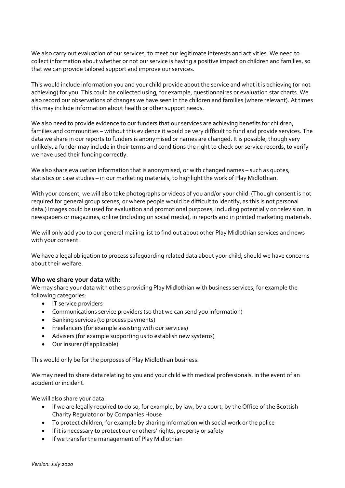We also carry out evaluation of our services, to meet our legitimate interests and activities. We need to collect information about whether or not our service is having a positive impact on children and families, so that we can provide tailored support and improve our services.

This would include information you and your child provide about the service and what it is achieving (or not achieving) for you. This could be collected using, for example, questionnaires or evaluation star charts. We also record our observations of changes we have seen in the children and families (where relevant). At times this may include information about health or other support needs.

We also need to provide evidence to our funders that our services are achieving benefits for children, families and communities – without this evidence it would be very difficult to fund and provide services. The data we share in our reports to funders is anonymised or names are changed. It is possible, though very unlikely, a funder may include in their terms and conditions the right to check our service records, to verify we have used their funding correctly.

We also share evaluation information that is anonymised, or with changed names – such as quotes, statistics or case studies – in our marketing materials, to highlight the work of Play Midlothian.

With your consent, we will also take photographs or videos of you and/or your child. (Though consent is not required for general group scenes, or where people would be difficult to identify, as this is not personal data.) Images could be used for evaluation and promotional purposes, including potentially on television, in newspapers or magazines, online (including on social media), in reports and in printed marketing materials.

We will only add you to our general mailing list to find out about other Play Midlothian services and news with your consent.

We have a legal obligation to process safeguarding related data about your child, should we have concerns about their welfare.

# **Who we share your data with:**

We may share your data with others providing Play Midlothian with business services, for example the following categories:

- IT service providers
- Communications service providers (so that we can send you information)
- Banking services (to process payments)
- Freelancers (for example assisting with our services)
- Advisers (for example supporting us to establish new systems)
- Our insurer (if applicable)

This would only be for the purposes of Play Midlothian business.

We may need to share data relating to you and your child with medical professionals, in the event of an accident or incident.

We will also share your data:

- If we are legally required to do so, for example, by law, by a court, by the Office of the Scottish Charity Regulator or by Companies House
- To protect children, for example by sharing information with social work or the police
- If it is necessary to protect our or others' rights, property or safety
- If we transfer the management of Play Midlothian